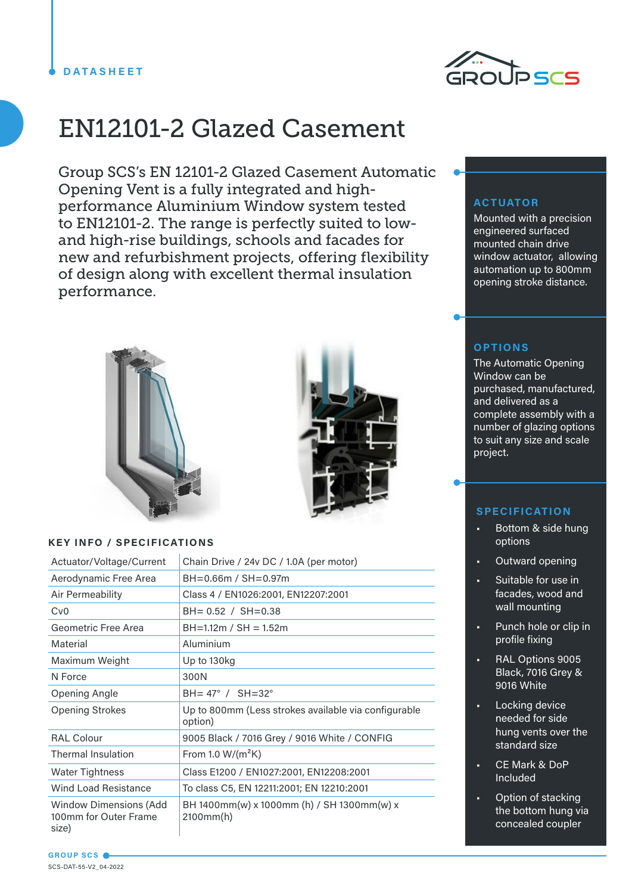

# EN12101-2 Glazed Casement

Group SCS's EN 12101-2 Glazed Casement Automatic Opening Vent is a fully integrated and highperformance Aluminium Window system tested to EN12101-2. The range is perfectly suited to lowand high-rise buildings, schools and facades for new and refurbishment projects, offering flexibility of design along with excellent thermal insulation performance.



## **KEY INFO / SPECIFICATIONS**

| Actuator/Voltage/Current                                        | Chain Drive / 24v DC / 1.0A (per motor)                         |
|-----------------------------------------------------------------|-----------------------------------------------------------------|
| Aerodynamic Free Area                                           | BH=0.66m / SH=0.97m                                             |
| Air Permeability                                                | Class 4 / EN1026:2001, EN12207:2001                             |
| Cv <sub>0</sub>                                                 | $BH = 0.52 / SH = 0.38$                                         |
| Geometric Free Area                                             | $BH=1.12m / SH = 1.52m$                                         |
| Material                                                        | Aluminium                                                       |
| Maximum Weight                                                  | Up to 130kg                                                     |
| N Force                                                         | 300N                                                            |
| Opening Angle                                                   | $BH = 47^{\circ}$ / $SH = 32^{\circ}$                           |
| <b>Opening Strokes</b>                                          | Up to 800mm (Less strokes available via configurable<br>option) |
| <b>RAL Colour</b>                                               | 9005 Black / 7016 Grey / 9016 White / CONFIG                    |
| <b>Thermal Insulation</b>                                       | From 1.0 $W/(m^2K)$                                             |
| <b>Water Tightness</b>                                          | Class E1200 / EN1027:2001, EN12208:2001                         |
| <b>Wind Load Resistance</b>                                     | To class C5, EN 12211:2001; EN 12210:2001                       |
| <b>Window Dimensions (Add</b><br>100mm for Outer Frame<br>size) | BH 1400mm(w) x 1000mm (h) / SH 1300mm(w) x<br>2100mm(h)         |

# **ACTUATOR**

Mounted with a precision engineered surfaced mounted chain drive window actuator, allowing automation up to 800mm opening stroke distance.

# **OPTIONS**

The Automatic Opening Window can be purchased, manufactured, and delivered as a complete assembly with a number of glazing options to suit any size and scale project.

# **SPECIFICATION**

- Bottom & side hung options
- Outward opening
- Suitable for use in facades, wood and wall mounting
- Punch hole or clip in profile fixing
- RAL Options 9005 Black, 7016 Grey & 9016 White
- Locking device needed for side hung vents over the standard size
- CE Mark & DoP Included
- Option of stacking the bottom hung via concealed coupler